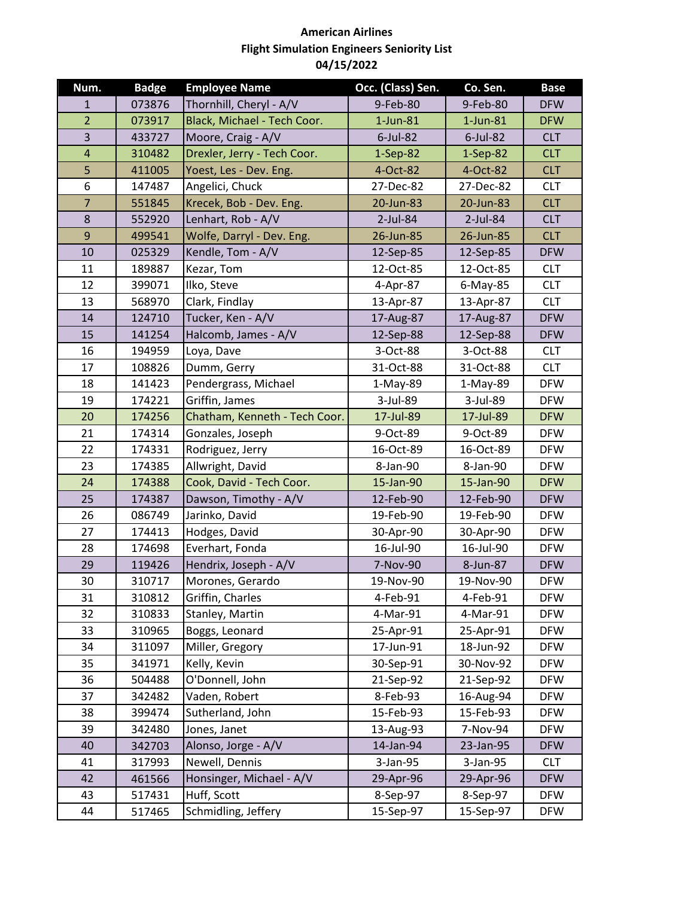| Num.           | <b>Badge</b> | <b>Employee Name</b>          | Occ. (Class) Sen. | Co. Sen.    | <b>Base</b> |
|----------------|--------------|-------------------------------|-------------------|-------------|-------------|
| $\mathbf{1}$   | 073876       | Thornhill, Cheryl - A/V       | 9-Feb-80          | 9-Feb-80    | <b>DFW</b>  |
| $\overline{2}$ | 073917       | Black, Michael - Tech Coor.   | $1$ -Jun-81       | $1$ -Jun-81 | <b>DFW</b>  |
| 3              | 433727       | Moore, Craig - A/V            | $6$ -Jul-82       | $6$ -Jul-82 | <b>CLT</b>  |
| $\overline{a}$ | 310482       | Drexler, Jerry - Tech Coor.   | $1-Sep-82$        | $1-Sep-82$  | <b>CLT</b>  |
| 5              | 411005       | Yoest, Les - Dev. Eng.        | 4-Oct-82          | 4-Oct-82    | <b>CLT</b>  |
| 6              | 147487       | Angelici, Chuck               | 27-Dec-82         | 27-Dec-82   | <b>CLT</b>  |
| $\overline{7}$ | 551845       | Krecek, Bob - Dev. Eng.       | 20-Jun-83         | 20-Jun-83   | <b>CLT</b>  |
| 8              | 552920       | Lenhart, Rob - A/V            | 2-Jul-84          | $2$ -Jul-84 | <b>CLT</b>  |
| 9              | 499541       | Wolfe, Darryl - Dev. Eng.     | 26-Jun-85         | 26-Jun-85   | <b>CLT</b>  |
| 10             | 025329       | Kendle, Tom - A/V             | 12-Sep-85         | 12-Sep-85   | <b>DFW</b>  |
| 11             | 189887       | Kezar, Tom                    | 12-Oct-85         | 12-Oct-85   | <b>CLT</b>  |
| 12             | 399071       | Ilko, Steve                   | 4-Apr-87          | 6-May-85    | <b>CLT</b>  |
| 13             | 568970       | Clark, Findlay                | 13-Apr-87         | 13-Apr-87   | <b>CLT</b>  |
| 14             | 124710       | Tucker, Ken - A/V             | 17-Aug-87         | 17-Aug-87   | <b>DFW</b>  |
| 15             | 141254       | Halcomb, James - A/V          | 12-Sep-88         | 12-Sep-88   | <b>DFW</b>  |
| 16             | 194959       | Loya, Dave                    | 3-Oct-88          | 3-Oct-88    | <b>CLT</b>  |
| 17             | 108826       | Dumm, Gerry                   | 31-Oct-88         | 31-Oct-88   | <b>CLT</b>  |
| 18             | 141423       | Pendergrass, Michael          | $1-May-89$        | 1-May-89    | <b>DFW</b>  |
| 19             | 174221       | Griffin, James                | 3-Jul-89          | 3-Jul-89    | <b>DFW</b>  |
| 20             | 174256       | Chatham, Kenneth - Tech Coor. | 17-Jul-89         | 17-Jul-89   | <b>DFW</b>  |
| 21             | 174314       | Gonzales, Joseph              | 9-Oct-89          | 9-Oct-89    | <b>DFW</b>  |
| 22             | 174331       | Rodriguez, Jerry              | 16-Oct-89         | 16-Oct-89   | <b>DFW</b>  |
| 23             | 174385       | Allwright, David              | 8-Jan-90          | 8-Jan-90    | <b>DFW</b>  |
| 24             | 174388       | Cook, David - Tech Coor.      | 15-Jan-90         | 15-Jan-90   | <b>DFW</b>  |
| 25             | 174387       | Dawson, Timothy - A/V         | 12-Feb-90         | 12-Feb-90   | <b>DFW</b>  |
| 26             | 086749       | Jarinko, David                | 19-Feb-90         | 19-Feb-90   | <b>DFW</b>  |
| 27             | 174413       | Hodges, David                 | 30-Apr-90         | 30-Apr-90   | <b>DFW</b>  |
| 28             | 174698       | Everhart, Fonda               | 16-Jul-90         | 16-Jul-90   | <b>DFW</b>  |
| 29             | 119426       | Hendrix, Joseph - A/V         | 7-Nov-90          | 8-Jun-87    | <b>DFW</b>  |
| 30             | 310717       | Morones, Gerardo              | 19-Nov-90         | 19-Nov-90   | <b>DFW</b>  |
| 31             | 310812       | Griffin, Charles              | 4-Feb-91          | 4-Feb-91    | <b>DFW</b>  |
| 32             | 310833       | Stanley, Martin               | 4-Mar-91          | 4-Mar-91    | <b>DFW</b>  |
| 33             | 310965       | Boggs, Leonard                | 25-Apr-91         | 25-Apr-91   | <b>DFW</b>  |
| 34             | 311097       | Miller, Gregory               | 17-Jun-91         | 18-Jun-92   | <b>DFW</b>  |
| 35             | 341971       | Kelly, Kevin                  | 30-Sep-91         | 30-Nov-92   | <b>DFW</b>  |
| 36             | 504488       | O'Donnell, John               | 21-Sep-92         | 21-Sep-92   | <b>DFW</b>  |
| 37             | 342482       | Vaden, Robert                 | 8-Feb-93          | 16-Aug-94   | <b>DFW</b>  |
| 38             | 399474       | Sutherland, John              | 15-Feb-93         | 15-Feb-93   | <b>DFW</b>  |
| 39             | 342480       | Jones, Janet                  | 13-Aug-93         | 7-Nov-94    | <b>DFW</b>  |
| 40             | 342703       | Alonso, Jorge - A/V           | 14-Jan-94         | 23-Jan-95   | <b>DFW</b>  |
| 41             | 317993       | Newell, Dennis                | 3-Jan-95          | 3-Jan-95    | <b>CLT</b>  |
| 42             | 461566       | Honsinger, Michael - A/V      | 29-Apr-96         | 29-Apr-96   | <b>DFW</b>  |
| 43             | 517431       | Huff, Scott                   | 8-Sep-97          | 8-Sep-97    | <b>DFW</b>  |
| 44             | 517465       | Schmidling, Jeffery           | 15-Sep-97         | 15-Sep-97   | <b>DFW</b>  |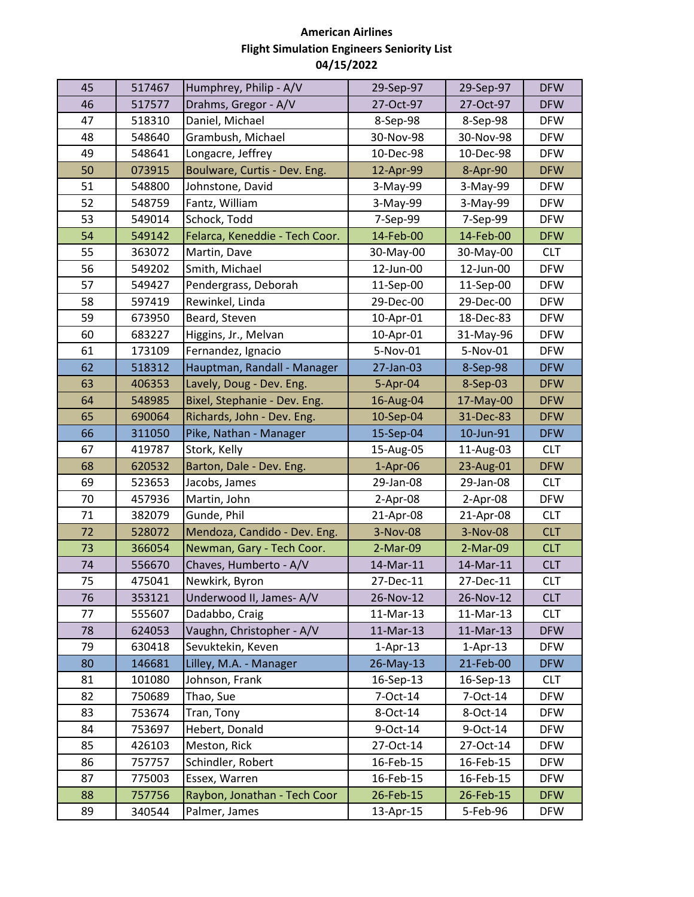| Drahms, Gregor - A/V<br>46<br>517577<br>27-Oct-97<br>27-Oct-97<br><b>DFW</b><br>47<br>Daniel, Michael<br>518310<br><b>DFW</b><br>8-Sep-98<br>8-Sep-98<br>48<br>Grambush, Michael<br>30-Nov-98<br>30-Nov-98<br>548640<br><b>DFW</b><br>49<br>Longacre, Jeffrey<br>10-Dec-98<br>10-Dec-98<br><b>DFW</b><br>548641<br>50<br>073915<br>Boulware, Curtis - Dev. Eng.<br>12-Apr-99<br>8-Apr-90<br><b>DFW</b><br>51<br>548800<br>Johnstone, David<br>3-May-99<br>3-May-99<br><b>DFW</b><br>52<br>Fantz, William<br>548759<br>3-May-99<br>3-May-99<br><b>DFW</b><br>53<br>Schock, Todd<br>549014<br>7-Sep-99<br>7-Sep-99<br><b>DFW</b><br>54<br>14-Feb-00<br>14-Feb-00<br>549142<br>Felarca, Keneddie - Tech Coor.<br><b>DFW</b><br>55<br>363072<br>Martin, Dave<br>30-May-00<br>30-May-00<br><b>CLT</b><br>56<br>Smith, Michael<br>12-Jun-00<br>12-Jun-00<br><b>DFW</b><br>549202<br>57<br>549427<br>Pendergrass, Deborah<br><b>DFW</b><br>11-Sep-00<br>11-Sep-00<br>58<br>597419<br>Rewinkel, Linda<br>29-Dec-00<br>29-Dec-00<br><b>DFW</b><br>59<br>Beard, Steven<br>18-Dec-83<br>673950<br>10-Apr-01<br><b>DFW</b><br>60<br>Higgins, Jr., Melvan<br>10-Apr-01<br>31-May-96<br><b>DFW</b><br>683227<br>61<br>173109<br>Fernandez, Ignacio<br>5-Nov-01<br>5-Nov-01<br><b>DFW</b><br>62<br>Hauptman, Randall - Manager<br>27-Jan-03<br>518312<br>8-Sep-98<br><b>DFW</b><br>63<br>406353<br>Lavely, Doug - Dev. Eng.<br>5-Apr-04<br>8-Sep-03<br><b>DFW</b><br>64<br>Bixel, Stephanie - Dev. Eng.<br>548985<br>16-Aug-04<br>17-May-00<br><b>DFW</b><br>65<br>690064<br>Richards, John - Dev. Eng.<br>10-Sep-04<br>31-Dec-83<br><b>DFW</b><br>66<br>311050<br>Pike, Nathan - Manager<br>15-Sep-04<br>10-Jun-91<br><b>DFW</b><br>67<br>419787<br>Stork, Kelly<br>15-Aug-05<br>11-Aug-03<br><b>CLT</b><br>Barton, Dale - Dev. Eng.<br>68<br>620532<br>$1-Apr-06$<br>23-Aug-01<br><b>DFW</b><br>69<br>523653<br>Jacobs, James<br>29-Jan-08<br>29-Jan-08<br><b>CLT</b><br>457936<br>Martin, John<br>2-Apr-08<br>$2-Apr-08$<br><b>DFW</b><br>70<br>71<br>Gunde, Phil<br><b>CLT</b><br>382079<br>21-Apr-08<br>21-Apr-08<br>72<br>Mendoza, Candido - Dev. Eng.<br>3-Nov-08<br>3-Nov-08<br>528072<br><b>CLT</b><br>Newman, Gary - Tech Coor.<br>73<br>366054<br>2-Mar-09<br>2-Mar-09<br><b>CLT</b><br>Chaves, Humberto - A/V<br>74<br>14-Mar-11<br>14-Mar-11<br>556670<br><b>CLT</b><br>75<br>475041<br>Newkirk, Byron<br>27-Dec-11<br>27-Dec-11<br><b>CLT</b><br>76<br>Underwood II, James-A/V<br><b>CLT</b><br>353121<br>26-Nov-12<br>26-Nov-12<br>555607<br>Dadabbo, Craig<br>11-Mar-13<br>11-Mar-13<br>77<br><b>CLT</b><br>Vaughn, Christopher - A/V<br>11-Mar-13<br>11-Mar-13<br>78<br><b>DFW</b><br>624053<br>Sevuktekin, Keven<br>79<br>630418<br>$1-Apr-13$<br>$1-Apr-13$<br><b>DFW</b><br>Lilley, M.A. - Manager<br>80<br>146681<br>26-May-13<br>21-Feb-00<br><b>DFW</b><br>Johnson, Frank<br>81<br>101080<br>16-Sep-13<br>16-Sep-13<br><b>CLT</b><br>82<br>Thao, Sue<br>7-Oct-14<br>7-Oct-14<br>750689<br><b>DFW</b><br>83<br>753674<br>Tran, Tony<br>8-Oct-14<br>8-Oct-14<br><b>DFW</b><br>Hebert, Donald<br>84<br>753697<br>9-Oct-14<br>9-Oct-14<br><b>DFW</b><br>85<br>426103<br>Meston, Rick<br>27-Oct-14<br>27-Oct-14<br><b>DFW</b><br>Schindler, Robert<br>86<br>757757<br>16-Feb-15<br>16-Feb-15<br><b>DFW</b><br>Essex, Warren<br>87<br>775003<br>16-Feb-15<br>16-Feb-15<br><b>DFW</b> |    |        |                              |           |           |            |
|----------------------------------------------------------------------------------------------------------------------------------------------------------------------------------------------------------------------------------------------------------------------------------------------------------------------------------------------------------------------------------------------------------------------------------------------------------------------------------------------------------------------------------------------------------------------------------------------------------------------------------------------------------------------------------------------------------------------------------------------------------------------------------------------------------------------------------------------------------------------------------------------------------------------------------------------------------------------------------------------------------------------------------------------------------------------------------------------------------------------------------------------------------------------------------------------------------------------------------------------------------------------------------------------------------------------------------------------------------------------------------------------------------------------------------------------------------------------------------------------------------------------------------------------------------------------------------------------------------------------------------------------------------------------------------------------------------------------------------------------------------------------------------------------------------------------------------------------------------------------------------------------------------------------------------------------------------------------------------------------------------------------------------------------------------------------------------------------------------------------------------------------------------------------------------------------------------------------------------------------------------------------------------------------------------------------------------------------------------------------------------------------------------------------------------------------------------------------------------------------------------------------------------------------------------------------------------------------------------------------------------------------------------------------------------------------------------------------------------------------------------------------------------------------------------------------------------------------------------------------------------------------------------------------------------------------------------------------------------------------------------------------------------------------------------------------------------------------------------------------------------------------------------------------------------------------------------------------------------------------------------------------------------------------------------------------------------------------------------------------------------------|----|--------|------------------------------|-----------|-----------|------------|
|                                                                                                                                                                                                                                                                                                                                                                                                                                                                                                                                                                                                                                                                                                                                                                                                                                                                                                                                                                                                                                                                                                                                                                                                                                                                                                                                                                                                                                                                                                                                                                                                                                                                                                                                                                                                                                                                                                                                                                                                                                                                                                                                                                                                                                                                                                                                                                                                                                                                                                                                                                                                                                                                                                                                                                                                                                                                                                                                                                                                                                                                                                                                                                                                                                                                                                                                                                                        | 45 | 517467 | Humphrey, Philip - A/V       | 29-Sep-97 | 29-Sep-97 | <b>DFW</b> |
|                                                                                                                                                                                                                                                                                                                                                                                                                                                                                                                                                                                                                                                                                                                                                                                                                                                                                                                                                                                                                                                                                                                                                                                                                                                                                                                                                                                                                                                                                                                                                                                                                                                                                                                                                                                                                                                                                                                                                                                                                                                                                                                                                                                                                                                                                                                                                                                                                                                                                                                                                                                                                                                                                                                                                                                                                                                                                                                                                                                                                                                                                                                                                                                                                                                                                                                                                                                        |    |        |                              |           |           |            |
|                                                                                                                                                                                                                                                                                                                                                                                                                                                                                                                                                                                                                                                                                                                                                                                                                                                                                                                                                                                                                                                                                                                                                                                                                                                                                                                                                                                                                                                                                                                                                                                                                                                                                                                                                                                                                                                                                                                                                                                                                                                                                                                                                                                                                                                                                                                                                                                                                                                                                                                                                                                                                                                                                                                                                                                                                                                                                                                                                                                                                                                                                                                                                                                                                                                                                                                                                                                        |    |        |                              |           |           |            |
|                                                                                                                                                                                                                                                                                                                                                                                                                                                                                                                                                                                                                                                                                                                                                                                                                                                                                                                                                                                                                                                                                                                                                                                                                                                                                                                                                                                                                                                                                                                                                                                                                                                                                                                                                                                                                                                                                                                                                                                                                                                                                                                                                                                                                                                                                                                                                                                                                                                                                                                                                                                                                                                                                                                                                                                                                                                                                                                                                                                                                                                                                                                                                                                                                                                                                                                                                                                        |    |        |                              |           |           |            |
|                                                                                                                                                                                                                                                                                                                                                                                                                                                                                                                                                                                                                                                                                                                                                                                                                                                                                                                                                                                                                                                                                                                                                                                                                                                                                                                                                                                                                                                                                                                                                                                                                                                                                                                                                                                                                                                                                                                                                                                                                                                                                                                                                                                                                                                                                                                                                                                                                                                                                                                                                                                                                                                                                                                                                                                                                                                                                                                                                                                                                                                                                                                                                                                                                                                                                                                                                                                        |    |        |                              |           |           |            |
|                                                                                                                                                                                                                                                                                                                                                                                                                                                                                                                                                                                                                                                                                                                                                                                                                                                                                                                                                                                                                                                                                                                                                                                                                                                                                                                                                                                                                                                                                                                                                                                                                                                                                                                                                                                                                                                                                                                                                                                                                                                                                                                                                                                                                                                                                                                                                                                                                                                                                                                                                                                                                                                                                                                                                                                                                                                                                                                                                                                                                                                                                                                                                                                                                                                                                                                                                                                        |    |        |                              |           |           |            |
|                                                                                                                                                                                                                                                                                                                                                                                                                                                                                                                                                                                                                                                                                                                                                                                                                                                                                                                                                                                                                                                                                                                                                                                                                                                                                                                                                                                                                                                                                                                                                                                                                                                                                                                                                                                                                                                                                                                                                                                                                                                                                                                                                                                                                                                                                                                                                                                                                                                                                                                                                                                                                                                                                                                                                                                                                                                                                                                                                                                                                                                                                                                                                                                                                                                                                                                                                                                        |    |        |                              |           |           |            |
|                                                                                                                                                                                                                                                                                                                                                                                                                                                                                                                                                                                                                                                                                                                                                                                                                                                                                                                                                                                                                                                                                                                                                                                                                                                                                                                                                                                                                                                                                                                                                                                                                                                                                                                                                                                                                                                                                                                                                                                                                                                                                                                                                                                                                                                                                                                                                                                                                                                                                                                                                                                                                                                                                                                                                                                                                                                                                                                                                                                                                                                                                                                                                                                                                                                                                                                                                                                        |    |        |                              |           |           |            |
|                                                                                                                                                                                                                                                                                                                                                                                                                                                                                                                                                                                                                                                                                                                                                                                                                                                                                                                                                                                                                                                                                                                                                                                                                                                                                                                                                                                                                                                                                                                                                                                                                                                                                                                                                                                                                                                                                                                                                                                                                                                                                                                                                                                                                                                                                                                                                                                                                                                                                                                                                                                                                                                                                                                                                                                                                                                                                                                                                                                                                                                                                                                                                                                                                                                                                                                                                                                        |    |        |                              |           |           |            |
|                                                                                                                                                                                                                                                                                                                                                                                                                                                                                                                                                                                                                                                                                                                                                                                                                                                                                                                                                                                                                                                                                                                                                                                                                                                                                                                                                                                                                                                                                                                                                                                                                                                                                                                                                                                                                                                                                                                                                                                                                                                                                                                                                                                                                                                                                                                                                                                                                                                                                                                                                                                                                                                                                                                                                                                                                                                                                                                                                                                                                                                                                                                                                                                                                                                                                                                                                                                        |    |        |                              |           |           |            |
|                                                                                                                                                                                                                                                                                                                                                                                                                                                                                                                                                                                                                                                                                                                                                                                                                                                                                                                                                                                                                                                                                                                                                                                                                                                                                                                                                                                                                                                                                                                                                                                                                                                                                                                                                                                                                                                                                                                                                                                                                                                                                                                                                                                                                                                                                                                                                                                                                                                                                                                                                                                                                                                                                                                                                                                                                                                                                                                                                                                                                                                                                                                                                                                                                                                                                                                                                                                        |    |        |                              |           |           |            |
|                                                                                                                                                                                                                                                                                                                                                                                                                                                                                                                                                                                                                                                                                                                                                                                                                                                                                                                                                                                                                                                                                                                                                                                                                                                                                                                                                                                                                                                                                                                                                                                                                                                                                                                                                                                                                                                                                                                                                                                                                                                                                                                                                                                                                                                                                                                                                                                                                                                                                                                                                                                                                                                                                                                                                                                                                                                                                                                                                                                                                                                                                                                                                                                                                                                                                                                                                                                        |    |        |                              |           |           |            |
|                                                                                                                                                                                                                                                                                                                                                                                                                                                                                                                                                                                                                                                                                                                                                                                                                                                                                                                                                                                                                                                                                                                                                                                                                                                                                                                                                                                                                                                                                                                                                                                                                                                                                                                                                                                                                                                                                                                                                                                                                                                                                                                                                                                                                                                                                                                                                                                                                                                                                                                                                                                                                                                                                                                                                                                                                                                                                                                                                                                                                                                                                                                                                                                                                                                                                                                                                                                        |    |        |                              |           |           |            |
|                                                                                                                                                                                                                                                                                                                                                                                                                                                                                                                                                                                                                                                                                                                                                                                                                                                                                                                                                                                                                                                                                                                                                                                                                                                                                                                                                                                                                                                                                                                                                                                                                                                                                                                                                                                                                                                                                                                                                                                                                                                                                                                                                                                                                                                                                                                                                                                                                                                                                                                                                                                                                                                                                                                                                                                                                                                                                                                                                                                                                                                                                                                                                                                                                                                                                                                                                                                        |    |        |                              |           |           |            |
|                                                                                                                                                                                                                                                                                                                                                                                                                                                                                                                                                                                                                                                                                                                                                                                                                                                                                                                                                                                                                                                                                                                                                                                                                                                                                                                                                                                                                                                                                                                                                                                                                                                                                                                                                                                                                                                                                                                                                                                                                                                                                                                                                                                                                                                                                                                                                                                                                                                                                                                                                                                                                                                                                                                                                                                                                                                                                                                                                                                                                                                                                                                                                                                                                                                                                                                                                                                        |    |        |                              |           |           |            |
|                                                                                                                                                                                                                                                                                                                                                                                                                                                                                                                                                                                                                                                                                                                                                                                                                                                                                                                                                                                                                                                                                                                                                                                                                                                                                                                                                                                                                                                                                                                                                                                                                                                                                                                                                                                                                                                                                                                                                                                                                                                                                                                                                                                                                                                                                                                                                                                                                                                                                                                                                                                                                                                                                                                                                                                                                                                                                                                                                                                                                                                                                                                                                                                                                                                                                                                                                                                        |    |        |                              |           |           |            |
|                                                                                                                                                                                                                                                                                                                                                                                                                                                                                                                                                                                                                                                                                                                                                                                                                                                                                                                                                                                                                                                                                                                                                                                                                                                                                                                                                                                                                                                                                                                                                                                                                                                                                                                                                                                                                                                                                                                                                                                                                                                                                                                                                                                                                                                                                                                                                                                                                                                                                                                                                                                                                                                                                                                                                                                                                                                                                                                                                                                                                                                                                                                                                                                                                                                                                                                                                                                        |    |        |                              |           |           |            |
|                                                                                                                                                                                                                                                                                                                                                                                                                                                                                                                                                                                                                                                                                                                                                                                                                                                                                                                                                                                                                                                                                                                                                                                                                                                                                                                                                                                                                                                                                                                                                                                                                                                                                                                                                                                                                                                                                                                                                                                                                                                                                                                                                                                                                                                                                                                                                                                                                                                                                                                                                                                                                                                                                                                                                                                                                                                                                                                                                                                                                                                                                                                                                                                                                                                                                                                                                                                        |    |        |                              |           |           |            |
|                                                                                                                                                                                                                                                                                                                                                                                                                                                                                                                                                                                                                                                                                                                                                                                                                                                                                                                                                                                                                                                                                                                                                                                                                                                                                                                                                                                                                                                                                                                                                                                                                                                                                                                                                                                                                                                                                                                                                                                                                                                                                                                                                                                                                                                                                                                                                                                                                                                                                                                                                                                                                                                                                                                                                                                                                                                                                                                                                                                                                                                                                                                                                                                                                                                                                                                                                                                        |    |        |                              |           |           |            |
|                                                                                                                                                                                                                                                                                                                                                                                                                                                                                                                                                                                                                                                                                                                                                                                                                                                                                                                                                                                                                                                                                                                                                                                                                                                                                                                                                                                                                                                                                                                                                                                                                                                                                                                                                                                                                                                                                                                                                                                                                                                                                                                                                                                                                                                                                                                                                                                                                                                                                                                                                                                                                                                                                                                                                                                                                                                                                                                                                                                                                                                                                                                                                                                                                                                                                                                                                                                        |    |        |                              |           |           |            |
|                                                                                                                                                                                                                                                                                                                                                                                                                                                                                                                                                                                                                                                                                                                                                                                                                                                                                                                                                                                                                                                                                                                                                                                                                                                                                                                                                                                                                                                                                                                                                                                                                                                                                                                                                                                                                                                                                                                                                                                                                                                                                                                                                                                                                                                                                                                                                                                                                                                                                                                                                                                                                                                                                                                                                                                                                                                                                                                                                                                                                                                                                                                                                                                                                                                                                                                                                                                        |    |        |                              |           |           |            |
|                                                                                                                                                                                                                                                                                                                                                                                                                                                                                                                                                                                                                                                                                                                                                                                                                                                                                                                                                                                                                                                                                                                                                                                                                                                                                                                                                                                                                                                                                                                                                                                                                                                                                                                                                                                                                                                                                                                                                                                                                                                                                                                                                                                                                                                                                                                                                                                                                                                                                                                                                                                                                                                                                                                                                                                                                                                                                                                                                                                                                                                                                                                                                                                                                                                                                                                                                                                        |    |        |                              |           |           |            |
|                                                                                                                                                                                                                                                                                                                                                                                                                                                                                                                                                                                                                                                                                                                                                                                                                                                                                                                                                                                                                                                                                                                                                                                                                                                                                                                                                                                                                                                                                                                                                                                                                                                                                                                                                                                                                                                                                                                                                                                                                                                                                                                                                                                                                                                                                                                                                                                                                                                                                                                                                                                                                                                                                                                                                                                                                                                                                                                                                                                                                                                                                                                                                                                                                                                                                                                                                                                        |    |        |                              |           |           |            |
|                                                                                                                                                                                                                                                                                                                                                                                                                                                                                                                                                                                                                                                                                                                                                                                                                                                                                                                                                                                                                                                                                                                                                                                                                                                                                                                                                                                                                                                                                                                                                                                                                                                                                                                                                                                                                                                                                                                                                                                                                                                                                                                                                                                                                                                                                                                                                                                                                                                                                                                                                                                                                                                                                                                                                                                                                                                                                                                                                                                                                                                                                                                                                                                                                                                                                                                                                                                        |    |        |                              |           |           |            |
|                                                                                                                                                                                                                                                                                                                                                                                                                                                                                                                                                                                                                                                                                                                                                                                                                                                                                                                                                                                                                                                                                                                                                                                                                                                                                                                                                                                                                                                                                                                                                                                                                                                                                                                                                                                                                                                                                                                                                                                                                                                                                                                                                                                                                                                                                                                                                                                                                                                                                                                                                                                                                                                                                                                                                                                                                                                                                                                                                                                                                                                                                                                                                                                                                                                                                                                                                                                        |    |        |                              |           |           |            |
|                                                                                                                                                                                                                                                                                                                                                                                                                                                                                                                                                                                                                                                                                                                                                                                                                                                                                                                                                                                                                                                                                                                                                                                                                                                                                                                                                                                                                                                                                                                                                                                                                                                                                                                                                                                                                                                                                                                                                                                                                                                                                                                                                                                                                                                                                                                                                                                                                                                                                                                                                                                                                                                                                                                                                                                                                                                                                                                                                                                                                                                                                                                                                                                                                                                                                                                                                                                        |    |        |                              |           |           |            |
|                                                                                                                                                                                                                                                                                                                                                                                                                                                                                                                                                                                                                                                                                                                                                                                                                                                                                                                                                                                                                                                                                                                                                                                                                                                                                                                                                                                                                                                                                                                                                                                                                                                                                                                                                                                                                                                                                                                                                                                                                                                                                                                                                                                                                                                                                                                                                                                                                                                                                                                                                                                                                                                                                                                                                                                                                                                                                                                                                                                                                                                                                                                                                                                                                                                                                                                                                                                        |    |        |                              |           |           |            |
|                                                                                                                                                                                                                                                                                                                                                                                                                                                                                                                                                                                                                                                                                                                                                                                                                                                                                                                                                                                                                                                                                                                                                                                                                                                                                                                                                                                                                                                                                                                                                                                                                                                                                                                                                                                                                                                                                                                                                                                                                                                                                                                                                                                                                                                                                                                                                                                                                                                                                                                                                                                                                                                                                                                                                                                                                                                                                                                                                                                                                                                                                                                                                                                                                                                                                                                                                                                        |    |        |                              |           |           |            |
|                                                                                                                                                                                                                                                                                                                                                                                                                                                                                                                                                                                                                                                                                                                                                                                                                                                                                                                                                                                                                                                                                                                                                                                                                                                                                                                                                                                                                                                                                                                                                                                                                                                                                                                                                                                                                                                                                                                                                                                                                                                                                                                                                                                                                                                                                                                                                                                                                                                                                                                                                                                                                                                                                                                                                                                                                                                                                                                                                                                                                                                                                                                                                                                                                                                                                                                                                                                        |    |        |                              |           |           |            |
|                                                                                                                                                                                                                                                                                                                                                                                                                                                                                                                                                                                                                                                                                                                                                                                                                                                                                                                                                                                                                                                                                                                                                                                                                                                                                                                                                                                                                                                                                                                                                                                                                                                                                                                                                                                                                                                                                                                                                                                                                                                                                                                                                                                                                                                                                                                                                                                                                                                                                                                                                                                                                                                                                                                                                                                                                                                                                                                                                                                                                                                                                                                                                                                                                                                                                                                                                                                        |    |        |                              |           |           |            |
|                                                                                                                                                                                                                                                                                                                                                                                                                                                                                                                                                                                                                                                                                                                                                                                                                                                                                                                                                                                                                                                                                                                                                                                                                                                                                                                                                                                                                                                                                                                                                                                                                                                                                                                                                                                                                                                                                                                                                                                                                                                                                                                                                                                                                                                                                                                                                                                                                                                                                                                                                                                                                                                                                                                                                                                                                                                                                                                                                                                                                                                                                                                                                                                                                                                                                                                                                                                        |    |        |                              |           |           |            |
|                                                                                                                                                                                                                                                                                                                                                                                                                                                                                                                                                                                                                                                                                                                                                                                                                                                                                                                                                                                                                                                                                                                                                                                                                                                                                                                                                                                                                                                                                                                                                                                                                                                                                                                                                                                                                                                                                                                                                                                                                                                                                                                                                                                                                                                                                                                                                                                                                                                                                                                                                                                                                                                                                                                                                                                                                                                                                                                                                                                                                                                                                                                                                                                                                                                                                                                                                                                        |    |        |                              |           |           |            |
|                                                                                                                                                                                                                                                                                                                                                                                                                                                                                                                                                                                                                                                                                                                                                                                                                                                                                                                                                                                                                                                                                                                                                                                                                                                                                                                                                                                                                                                                                                                                                                                                                                                                                                                                                                                                                                                                                                                                                                                                                                                                                                                                                                                                                                                                                                                                                                                                                                                                                                                                                                                                                                                                                                                                                                                                                                                                                                                                                                                                                                                                                                                                                                                                                                                                                                                                                                                        |    |        |                              |           |           |            |
|                                                                                                                                                                                                                                                                                                                                                                                                                                                                                                                                                                                                                                                                                                                                                                                                                                                                                                                                                                                                                                                                                                                                                                                                                                                                                                                                                                                                                                                                                                                                                                                                                                                                                                                                                                                                                                                                                                                                                                                                                                                                                                                                                                                                                                                                                                                                                                                                                                                                                                                                                                                                                                                                                                                                                                                                                                                                                                                                                                                                                                                                                                                                                                                                                                                                                                                                                                                        |    |        |                              |           |           |            |
|                                                                                                                                                                                                                                                                                                                                                                                                                                                                                                                                                                                                                                                                                                                                                                                                                                                                                                                                                                                                                                                                                                                                                                                                                                                                                                                                                                                                                                                                                                                                                                                                                                                                                                                                                                                                                                                                                                                                                                                                                                                                                                                                                                                                                                                                                                                                                                                                                                                                                                                                                                                                                                                                                                                                                                                                                                                                                                                                                                                                                                                                                                                                                                                                                                                                                                                                                                                        |    |        |                              |           |           |            |
|                                                                                                                                                                                                                                                                                                                                                                                                                                                                                                                                                                                                                                                                                                                                                                                                                                                                                                                                                                                                                                                                                                                                                                                                                                                                                                                                                                                                                                                                                                                                                                                                                                                                                                                                                                                                                                                                                                                                                                                                                                                                                                                                                                                                                                                                                                                                                                                                                                                                                                                                                                                                                                                                                                                                                                                                                                                                                                                                                                                                                                                                                                                                                                                                                                                                                                                                                                                        |    |        |                              |           |           |            |
|                                                                                                                                                                                                                                                                                                                                                                                                                                                                                                                                                                                                                                                                                                                                                                                                                                                                                                                                                                                                                                                                                                                                                                                                                                                                                                                                                                                                                                                                                                                                                                                                                                                                                                                                                                                                                                                                                                                                                                                                                                                                                                                                                                                                                                                                                                                                                                                                                                                                                                                                                                                                                                                                                                                                                                                                                                                                                                                                                                                                                                                                                                                                                                                                                                                                                                                                                                                        |    |        |                              |           |           |            |
|                                                                                                                                                                                                                                                                                                                                                                                                                                                                                                                                                                                                                                                                                                                                                                                                                                                                                                                                                                                                                                                                                                                                                                                                                                                                                                                                                                                                                                                                                                                                                                                                                                                                                                                                                                                                                                                                                                                                                                                                                                                                                                                                                                                                                                                                                                                                                                                                                                                                                                                                                                                                                                                                                                                                                                                                                                                                                                                                                                                                                                                                                                                                                                                                                                                                                                                                                                                        |    |        |                              |           |           |            |
|                                                                                                                                                                                                                                                                                                                                                                                                                                                                                                                                                                                                                                                                                                                                                                                                                                                                                                                                                                                                                                                                                                                                                                                                                                                                                                                                                                                                                                                                                                                                                                                                                                                                                                                                                                                                                                                                                                                                                                                                                                                                                                                                                                                                                                                                                                                                                                                                                                                                                                                                                                                                                                                                                                                                                                                                                                                                                                                                                                                                                                                                                                                                                                                                                                                                                                                                                                                        |    |        |                              |           |           |            |
|                                                                                                                                                                                                                                                                                                                                                                                                                                                                                                                                                                                                                                                                                                                                                                                                                                                                                                                                                                                                                                                                                                                                                                                                                                                                                                                                                                                                                                                                                                                                                                                                                                                                                                                                                                                                                                                                                                                                                                                                                                                                                                                                                                                                                                                                                                                                                                                                                                                                                                                                                                                                                                                                                                                                                                                                                                                                                                                                                                                                                                                                                                                                                                                                                                                                                                                                                                                        |    |        |                              |           |           |            |
|                                                                                                                                                                                                                                                                                                                                                                                                                                                                                                                                                                                                                                                                                                                                                                                                                                                                                                                                                                                                                                                                                                                                                                                                                                                                                                                                                                                                                                                                                                                                                                                                                                                                                                                                                                                                                                                                                                                                                                                                                                                                                                                                                                                                                                                                                                                                                                                                                                                                                                                                                                                                                                                                                                                                                                                                                                                                                                                                                                                                                                                                                                                                                                                                                                                                                                                                                                                        |    |        |                              |           |           |            |
|                                                                                                                                                                                                                                                                                                                                                                                                                                                                                                                                                                                                                                                                                                                                                                                                                                                                                                                                                                                                                                                                                                                                                                                                                                                                                                                                                                                                                                                                                                                                                                                                                                                                                                                                                                                                                                                                                                                                                                                                                                                                                                                                                                                                                                                                                                                                                                                                                                                                                                                                                                                                                                                                                                                                                                                                                                                                                                                                                                                                                                                                                                                                                                                                                                                                                                                                                                                        |    |        |                              |           |           |            |
|                                                                                                                                                                                                                                                                                                                                                                                                                                                                                                                                                                                                                                                                                                                                                                                                                                                                                                                                                                                                                                                                                                                                                                                                                                                                                                                                                                                                                                                                                                                                                                                                                                                                                                                                                                                                                                                                                                                                                                                                                                                                                                                                                                                                                                                                                                                                                                                                                                                                                                                                                                                                                                                                                                                                                                                                                                                                                                                                                                                                                                                                                                                                                                                                                                                                                                                                                                                        |    |        |                              |           |           |            |
|                                                                                                                                                                                                                                                                                                                                                                                                                                                                                                                                                                                                                                                                                                                                                                                                                                                                                                                                                                                                                                                                                                                                                                                                                                                                                                                                                                                                                                                                                                                                                                                                                                                                                                                                                                                                                                                                                                                                                                                                                                                                                                                                                                                                                                                                                                                                                                                                                                                                                                                                                                                                                                                                                                                                                                                                                                                                                                                                                                                                                                                                                                                                                                                                                                                                                                                                                                                        | 88 | 757756 | Raybon, Jonathan - Tech Coor | 26-Feb-15 | 26-Feb-15 | <b>DFW</b> |
| 89<br>Palmer, James<br>13-Apr-15<br>5-Feb-96<br><b>DFW</b><br>340544                                                                                                                                                                                                                                                                                                                                                                                                                                                                                                                                                                                                                                                                                                                                                                                                                                                                                                                                                                                                                                                                                                                                                                                                                                                                                                                                                                                                                                                                                                                                                                                                                                                                                                                                                                                                                                                                                                                                                                                                                                                                                                                                                                                                                                                                                                                                                                                                                                                                                                                                                                                                                                                                                                                                                                                                                                                                                                                                                                                                                                                                                                                                                                                                                                                                                                                   |    |        |                              |           |           |            |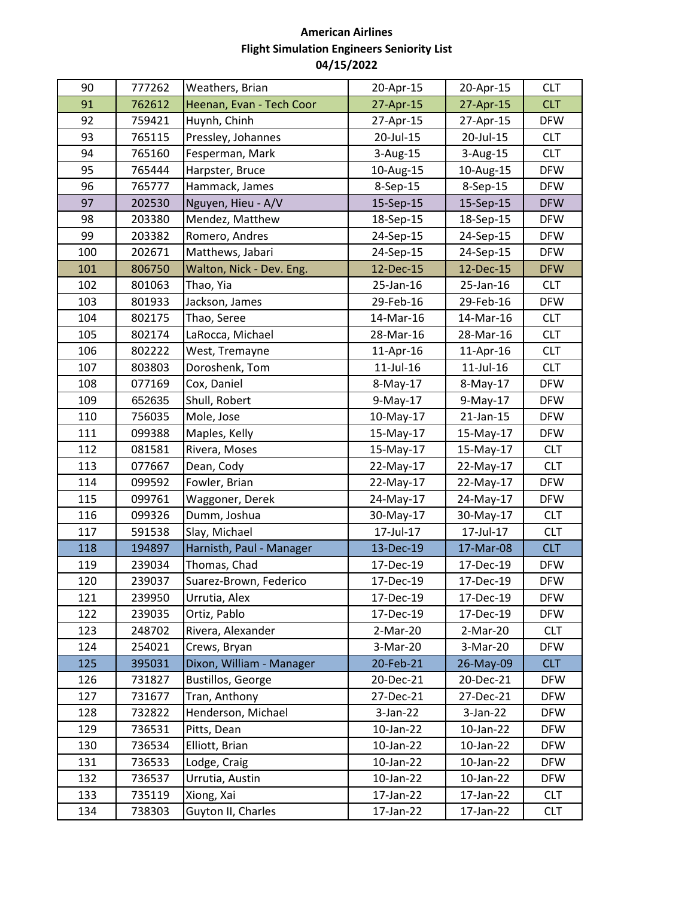| 90  | 777262 | Weathers, Brian          | 20-Apr-15  | 20-Apr-15       | <b>CLT</b> |
|-----|--------|--------------------------|------------|-----------------|------------|
| 91  | 762612 | Heenan, Evan - Tech Coor | 27-Apr-15  | 27-Apr-15       | <b>CLT</b> |
| 92  | 759421 | Huynh, Chinh             | 27-Apr-15  | 27-Apr-15       | <b>DFW</b> |
| 93  | 765115 | Pressley, Johannes       | 20-Jul-15  | 20-Jul-15       | <b>CLT</b> |
| 94  | 765160 | Fesperman, Mark          | 3-Aug-15   | 3-Aug-15        | <b>CLT</b> |
| 95  | 765444 | Harpster, Bruce          | 10-Aug-15  | 10-Aug-15       | <b>DFW</b> |
| 96  | 765777 | Hammack, James           | 8-Sep-15   | 8-Sep-15        | <b>DFW</b> |
| 97  | 202530 | Nguyen, Hieu - A/V       | 15-Sep-15  | 15-Sep-15       | <b>DFW</b> |
| 98  | 203380 | Mendez, Matthew          | 18-Sep-15  | 18-Sep-15       | <b>DFW</b> |
| 99  | 203382 | Romero, Andres           | 24-Sep-15  | 24-Sep-15       | <b>DFW</b> |
| 100 | 202671 | Matthews, Jabari         | 24-Sep-15  | 24-Sep-15       | <b>DFW</b> |
| 101 | 806750 | Walton, Nick - Dev. Eng. | 12-Dec-15  | 12-Dec-15       | <b>DFW</b> |
| 102 | 801063 | Thao, Yia                | 25-Jan-16  | 25-Jan-16       | <b>CLT</b> |
| 103 | 801933 | Jackson, James           | 29-Feb-16  | 29-Feb-16       | <b>DFW</b> |
| 104 | 802175 | Thao, Seree              | 14-Mar-16  | 14-Mar-16       | <b>CLT</b> |
| 105 | 802174 | LaRocca, Michael         | 28-Mar-16  | 28-Mar-16       | <b>CLT</b> |
| 106 | 802222 | West, Tremayne           | 11-Apr-16  | 11-Apr-16       | <b>CLT</b> |
| 107 | 803803 | Doroshenk, Tom           | 11-Jul-16  | $11$ -Jul- $16$ | <b>CLT</b> |
| 108 | 077169 | Cox, Daniel              | 8-May-17   | 8-May-17        | <b>DFW</b> |
| 109 | 652635 | Shull, Robert            | 9-May-17   | 9-May-17        | <b>DFW</b> |
| 110 | 756035 | Mole, Jose               | 10-May-17  | 21-Jan-15       | <b>DFW</b> |
| 111 | 099388 | Maples, Kelly            | 15-May-17  | 15-May-17       | <b>DFW</b> |
| 112 | 081581 | Rivera, Moses            | 15-May-17  | 15-May-17       | <b>CLT</b> |
| 113 | 077667 | Dean, Cody               | 22-May-17  | 22-May-17       | <b>CLT</b> |
| 114 | 099592 | Fowler, Brian            | 22-May-17  | 22-May-17       | <b>DFW</b> |
| 115 | 099761 | Waggoner, Derek          | 24-May-17  | 24-May-17       | <b>DFW</b> |
| 116 | 099326 | Dumm, Joshua             | 30-May-17  | 30-May-17       | <b>CLT</b> |
| 117 | 591538 | Slay, Michael            | 17-Jul-17  | 17-Jul-17       | <b>CLT</b> |
| 118 | 194897 | Harnisth, Paul - Manager | 13-Dec-19  | 17-Mar-08       | <b>CLT</b> |
| 119 | 239034 | Thomas, Chad             | 17-Dec-19  | 17-Dec-19       | <b>DFW</b> |
| 120 | 239037 | Suarez-Brown, Federico   | 17-Dec-19  | 17-Dec-19       | <b>DFW</b> |
| 121 | 239950 | Urrutia, Alex            | 17-Dec-19  | 17-Dec-19       | <b>DFW</b> |
| 122 | 239035 | Ortiz, Pablo             | 17-Dec-19  | 17-Dec-19       | <b>DFW</b> |
| 123 | 248702 | Rivera, Alexander        | 2-Mar-20   | 2-Mar-20        | <b>CLT</b> |
| 124 | 254021 | Crews, Bryan             | 3-Mar-20   | 3-Mar-20        | <b>DFW</b> |
| 125 | 395031 | Dixon, William - Manager | 20-Feb-21  | 26-May-09       | <b>CLT</b> |
| 126 | 731827 | <b>Bustillos, George</b> | 20-Dec-21  | 20-Dec-21       | <b>DFW</b> |
| 127 | 731677 | Tran, Anthony            | 27-Dec-21  | 27-Dec-21       | <b>DFW</b> |
| 128 | 732822 | Henderson, Michael       | $3-Jan-22$ | $3-Jan-22$      | <b>DFW</b> |
| 129 | 736531 | Pitts, Dean              | 10-Jan-22  | 10-Jan-22       | <b>DFW</b> |
| 130 | 736534 | Elliott, Brian           | 10-Jan-22  | 10-Jan-22       | <b>DFW</b> |
| 131 | 736533 | Lodge, Craig             | 10-Jan-22  | 10-Jan-22       | <b>DFW</b> |
| 132 | 736537 | Urrutia, Austin          | 10-Jan-22  | 10-Jan-22       | <b>DFW</b> |
| 133 | 735119 | Xiong, Xai               | 17-Jan-22  | 17-Jan-22       | <b>CLT</b> |
| 134 | 738303 | Guyton II, Charles       | 17-Jan-22  | 17-Jan-22       | <b>CLT</b> |